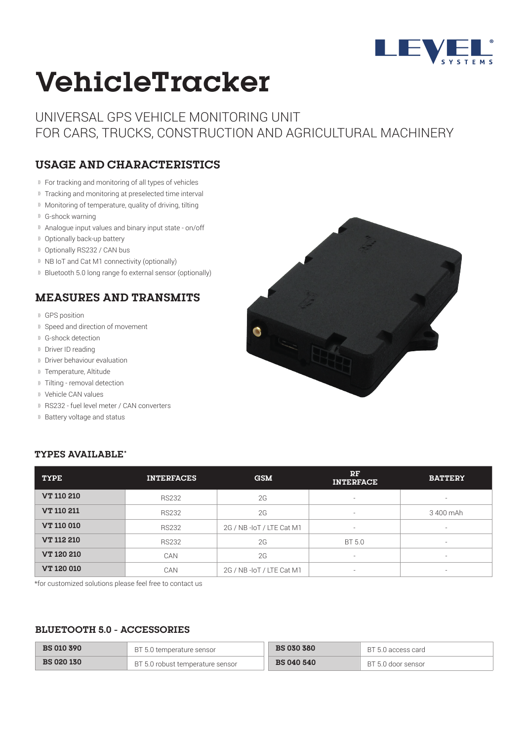

# **VehicleTracker**

UNIVERSAL GPS VEHICLE MONITORING UNIT FOR CARS, TRUCKS, CONSTRUCTION AND AGRICULTURAL MACHINERY

## **USAGE AND CHARACTERISTICS**

- For tracking and monitoring of all types of vehicles
- <sup>1)</sup> Tracking and monitoring at preselected time interval
- Monitoring of temperature, quality of driving, tilting
- G-shock warning
- Analogue input values and binary input state on/off
- <sup>1)</sup> Optionally back-up battery
- <sup>1)</sup> Optionally RS232 / CAN bus
- <sup>1)</sup> NB IoT and Cat M1 connectivity (optionally)
- Bluetooth 5.0 long range fo external sensor (optionally)

### **MEASURES AND TRANSMITS**

- GPS position
- **II** Speed and direction of movement
- G-shock detection
- Driver ID reading
- Driver behaviour evaluation
- <sup>1)</sup> Temperature, Altitude
- Tilting removal detection
- Vehicle CAN values
- RS232 fuel level meter / CAN converters
- **Battery voltage and status**



#### **TYPES AVAILABLE\***

| <b>TYPE</b>       | <b>INTERFACES</b> | <b>GSM</b>               | RF<br><b>INTERFACE</b> | <b>BATTERY</b>           |
|-------------------|-------------------|--------------------------|------------------------|--------------------------|
| <b>VT 110 210</b> | <b>RS232</b>      | 2G                       | $\sim$                 | $\overline{\phantom{a}}$ |
| <b>VT 110 211</b> | <b>RS232</b>      | 2G                       | $\sim$                 | 3 400 mAh                |
| <b>VT 110 010</b> | <b>RS232</b>      | 2G / NB-IoT / LTE Cat M1 | $\sim$                 | $\overline{\phantom{a}}$ |
| <b>VT 112 210</b> | <b>RS232</b>      | 2G                       | BT 5.0                 | $\sim$                   |
| <b>VT 120 210</b> | CAN               | 2G                       | $\sim$                 | $\overline{\phantom{0}}$ |
| <b>VT 120 010</b> | CAN               | 2G / NB-IoT / LTE Cat M1 | $\sim$                 | $\overline{\phantom{0}}$ |

\*for customized solutions please feel free to contact us

#### **BLUETOOTH 5.0 - ACCESSORIES**

| <b>BS 010 390</b> | BT 5.0 temperature sensor          | <b>BS 030 380</b> | BT 5.0 access card |
|-------------------|------------------------------------|-------------------|--------------------|
| <b>BS 020 130</b> | . BT 5.0 robust temperature sensor | <b>BS 040 540</b> | BT 5.0 door sensor |